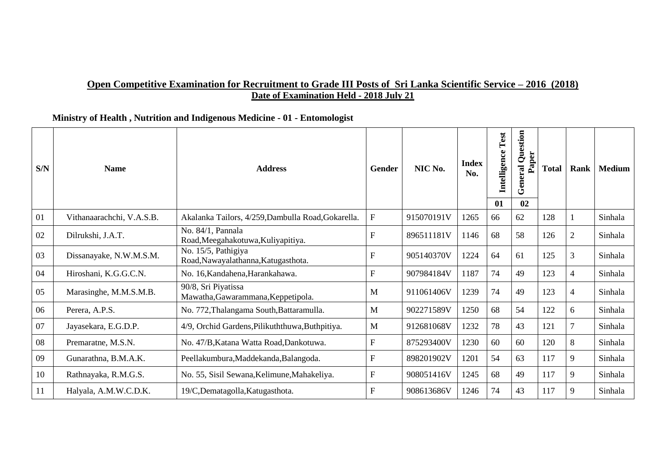### **Open Competitive Examination for Recruitment to Grade III Posts of Sri Lanka Scientific Service – 2016 (2018) Date of Examination Held - 2018 July 21**

### **Ministry of Health , Nutrition and Indigenous Medicine - 01 - Entomologist**

| S/N | <b>Name</b>               | <b>Address</b>                                             | Gender                    | NIC No.    | <b>Index</b><br>No. | Test<br>Intelligence<br>01 | Question<br>Paper<br>eral<br>ā<br>ق<br>02 | <b>Total</b> | Rank           | <b>Medium</b> |
|-----|---------------------------|------------------------------------------------------------|---------------------------|------------|---------------------|----------------------------|-------------------------------------------|--------------|----------------|---------------|
| 01  | Vithanaarachchi, V.A.S.B. | Akalanka Tailors, 4/259, Dambulla Road, Gokarella.         | $\mathbf F$               | 915070191V | 1265                | 66                         | 62                                        | 128          |                | Sinhala       |
| 02  | Dilrukshi, J.A.T.         | No. 84/1, Pannala<br>Road, Meegahakotuwa, Kuliyapitiya.    | $\mathbf{F}$              | 896511181V | 1146                | 68                         | 58                                        | 126          | $\overline{2}$ | Sinhala       |
| 03  | Dissanayake, N.W.M.S.M.   | No. 15/5, Pathigiya<br>Road, Nawayalathanna, Katugasthota. | ${\rm F}$                 | 905140370V | 1224                | 64                         | 61                                        | 125          | 3              | Sinhala       |
| 04  | Hiroshani, K.G.G.C.N.     | No. 16, Kandahena, Harankahawa.                            | F                         | 907984184V | 1187                | 74                         | 49                                        | 123          | 4              | Sinhala       |
| 05  | Marasinghe, M.M.S.M.B.    | 90/8, Sri Piyatissa<br>Mawatha, Gawarammana, Keppetipola.  | M                         | 911061406V | 1239                | 74                         | 49                                        | 123          | 4              | Sinhala       |
| 06  | Perera, A.P.S.            | No. 772, Thalangama South, Battaramulla.                   | M                         | 902271589V | 1250                | 68                         | 54                                        | 122          | 6              | Sinhala       |
| 07  | Jayasekara, E.G.D.P.      | 4/9, Orchid Gardens, Pilikuththuwa, Buthpitiya.            | M                         | 912681068V | 1232                | 78                         | 43                                        | 121          | 7              | Sinhala       |
| 08  | Premaratne, M.S.N.        | No. 47/B, Katana Watta Road, Dankotuwa.                    | F                         | 875293400V | 1230                | 60                         | 60                                        | 120          | 8              | Sinhala       |
| 09  | Gunarathna, B.M.A.K.      | Peellakumbura, Maddekanda, Balangoda.                      | $\boldsymbol{\mathrm{F}}$ | 898201902V | 1201                | 54                         | 63                                        | 117          | 9              | Sinhala       |
| 10  | Rathnayaka, R.M.G.S.      | No. 55, Sisil Sewana, Kelimune, Mahakeliya.                | $\mathbf{F}$              | 908051416V | 1245                | 68                         | 49                                        | 117          | 9              | Sinhala       |
| 11  | Halyala, A.M.W.C.D.K.     | 19/C,Dematagolla,Katugasthota.                             | $\mathbf F$               | 908613686V | 1246                | 74                         | 43                                        | 117          | 9              | Sinhala       |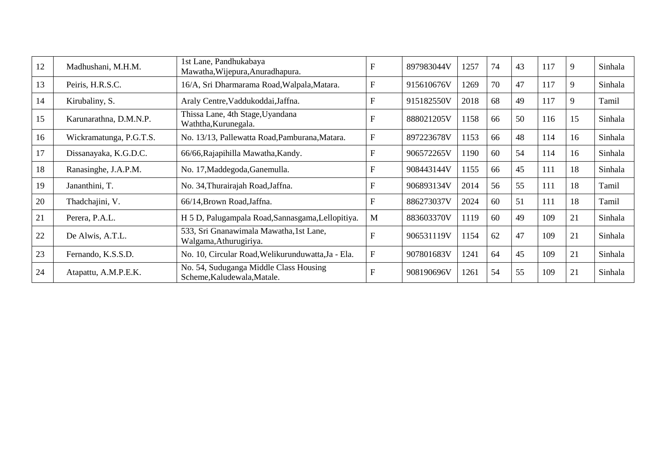| 12 | Madhushani, M.H.M.      | 1st Lane, Pandhukabaya<br>Mawatha, Wijepura, Anuradhapura.            | F                         | 897983044V | 1257 | 74 | 43 | 117 | 9  | Sinhala |
|----|-------------------------|-----------------------------------------------------------------------|---------------------------|------------|------|----|----|-----|----|---------|
| 13 | Peiris, H.R.S.C.        | 16/A, Sri Dharmarama Road, Walpala, Matara.                           | $\mathbf F$               | 915610676V | 1269 | 70 | 47 | 117 | 9  | Sinhala |
| 14 | Kirubaliny, S.          | Araly Centre, Vaddukoddai, Jaffna.                                    | $\boldsymbol{\mathrm{F}}$ | 915182550V | 2018 | 68 | 49 | 117 | 9  | Tamil   |
| 15 | Karunarathna, D.M.N.P.  | Thissa Lane, 4th Stage, Uyandana<br>Waththa, Kurunegala.              | F                         | 888021205V | 1158 | 66 | 50 | 116 | 15 | Sinhala |
| 16 | Wickramatunga, P.G.T.S. | No. 13/13, Pallewatta Road, Pamburana, Matara.                        | $\mathbf{F}$              | 897223678V | 1153 | 66 | 48 | 114 | 16 | Sinhala |
| 17 | Dissanayaka, K.G.D.C.   | 66/66, Rajapihilla Mawatha, Kandy.                                    | F                         | 906572265V | 1190 | 60 | 54 | 114 | 16 | Sinhala |
| 18 | Ranasinghe, J.A.P.M.    | No. 17, Maddegoda, Ganemulla.                                         | $\boldsymbol{\mathrm{F}}$ | 908443144V | 1155 | 66 | 45 | 111 | 18 | Sinhala |
| 19 | Jananthini, T.          | No. 34, Thurairajah Road, Jaffna.                                     | F                         | 906893134V | 2014 | 56 | 55 | 111 | 18 | Tamil   |
| 20 | Thadchajini, V.         | 66/14, Brown Road, Jaffna.                                            | F                         | 886273037V | 2024 | 60 | 51 | 111 | 18 | Tamil   |
| 21 | Perera, P.A.L.          | H 5 D, Palugampala Road, Sannasgama, Lellopitiya.                     | M                         | 883603370V | 1119 | 60 | 49 | 109 | 21 | Sinhala |
| 22 | De Alwis, A.T.L.        | 533, Sri Gnanawimala Mawatha, 1st Lane,<br>Walgama, Athurugiriya.     | $\overline{\mathrm{F}}$   | 906531119V | 1154 | 62 | 47 | 109 | 21 | Sinhala |
| 23 | Fernando, K.S.S.D.      | No. 10, Circular Road, Welikurunduwatta, Ja - Ela.                    | $\mathbf F$               | 907801683V | 1241 | 64 | 45 | 109 | 21 | Sinhala |
| 24 | Atapattu, A.M.P.E.K.    | No. 54, Suduganga Middle Class Housing<br>Scheme, Kaludewala, Matale. | F                         | 908190696V | 1261 | 54 | 55 | 109 | 21 | Sinhala |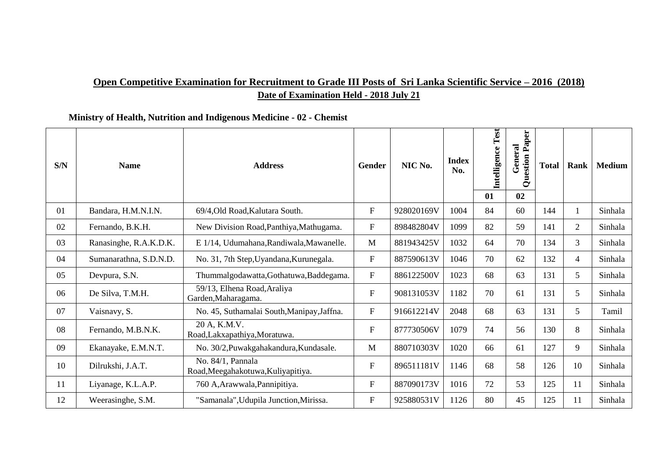# **Open Competitive Examination for Recruitment to Grade III Posts of Sri Lanka Scientific Service – 2016 (2018) Date of Examination Held - 2018 July 21**

### **Ministry of Health, Nutrition and Indigenous Medicine - 02 - Chemist**

| S/N | <b>Name</b>            | <b>Address</b>                                          | Gender                    | NIC No.    | <b>Index</b><br>No. | Test<br><b>Intelligence</b><br>01 | uestion Paper<br>General<br>Ō<br>02 | <b>Total</b> | Rank           | <b>Medium</b> |
|-----|------------------------|---------------------------------------------------------|---------------------------|------------|---------------------|-----------------------------------|-------------------------------------|--------------|----------------|---------------|
| 01  | Bandara, H.M.N.I.N.    | 69/4, Old Road, Kalutara South.                         | $\boldsymbol{\mathrm{F}}$ | 928020169V | 1004                | 84                                | 60                                  | 144          |                | Sinhala       |
| 02  | Fernando, B.K.H.       | New Division Road, Panthiya, Mathugama.                 | ${\bf F}$                 | 898482804V | 1099                | 82                                | 59                                  | 141          | $\overline{2}$ | Sinhala       |
| 03  | Ranasinghe, R.A.K.D.K. | E 1/14, Udumahana, Randiwala, Mawanelle.                | $\mathbf{M}$              | 881943425V | 1032                | 64                                | 70                                  | 134          | 3              | Sinhala       |
| 04  | Sumanarathna, S.D.N.D. | No. 31, 7th Step, Uyandana, Kurunegala.                 | ${\bf F}$                 | 887590613V | 1046                | 70                                | 62                                  | 132          | 4              | Sinhala       |
| 05  | Devpura, S.N.          | Thummalgodawatta, Gothatuwa, Baddegama.                 | $\mathbf F$               | 886122500V | 1023                | 68                                | 63                                  | 131          | 5              | Sinhala       |
| 06  | De Silva, T.M.H.       | 59/13, Elhena Road, Araliya<br>Garden, Maharagama.      | ${\bf F}$                 | 908131053V | 1182                | 70                                | 61                                  | 131          | 5              | Sinhala       |
| 07  | Vaisnavy, S.           | No. 45, Suthamalai South, Manipay, Jaffna.              | $\boldsymbol{\mathrm{F}}$ | 916612214V | 2048                | 68                                | 63                                  | 131          | 5 <sup>5</sup> | Tamil         |
| 08  | Fernando, M.B.N.K.     | 20 A, K.M.V.<br>Road, Lakxapathiya, Moratuwa.           | ${\bf F}$                 | 877730506V | 1079                | 74                                | 56                                  | 130          | 8              | Sinhala       |
| 09  | Ekanayake, E.M.N.T.    | No. 30/2, Puwakgahakandura, Kundasale.                  | M                         | 880710303V | 1020                | 66                                | 61                                  | 127          | 9              | Sinhala       |
| 10  | Dilrukshi, J.A.T.      | No. 84/1, Pannala<br>Road, Meegahakotuwa, Kuliyapitiya. | $\boldsymbol{\mathrm{F}}$ | 896511181V | 1146                | 68                                | 58                                  | 126          | 10             | Sinhala       |
| 11  | Liyanage, K.L.A.P.     | 760 A, Arawwala, Pannipitiya.                           | ${\bf F}$                 | 887090173V | 1016                | 72                                | 53                                  | 125          | 11             | Sinhala       |
| 12  | Weerasinghe, S.M.      | "Samanala", Udupila Junction, Mirissa.                  | ${\bf F}$                 | 925880531V | 1126                | 80                                | 45                                  | 125          | 11             | Sinhala       |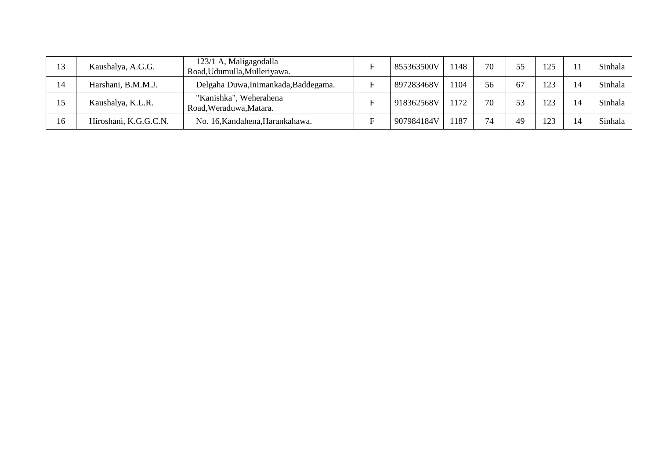| 13 | Kaushalya, A.G.G.     | 123/1 A, Maligagodalla<br>Road, Udumulla, Mulleriyawa. | 855363500V | 1148 | 70 | 55 | 125 |    | Sinhala |
|----|-----------------------|--------------------------------------------------------|------------|------|----|----|-----|----|---------|
| 14 | Harshani, B.M.M.J.    | Delgaha Duwa, Inimankada, Baddegama.                   | 897283468V | 1104 | 56 | 67 | 123 | 14 | Sinhala |
| 15 | Kaushalya, K.L.R.     | "Kanishka", Weherahena<br>Road, Weraduwa, Matara.      | 918362568V | 1172 | 70 | 53 | 123 | 14 | Sinhala |
| 16 | Hiroshani, K.G.G.C.N. | No. 16, Kandahena, Harankahawa.                        | 907984184V | 1187 | 74 | 49 | 123 | 14 | Sinhala |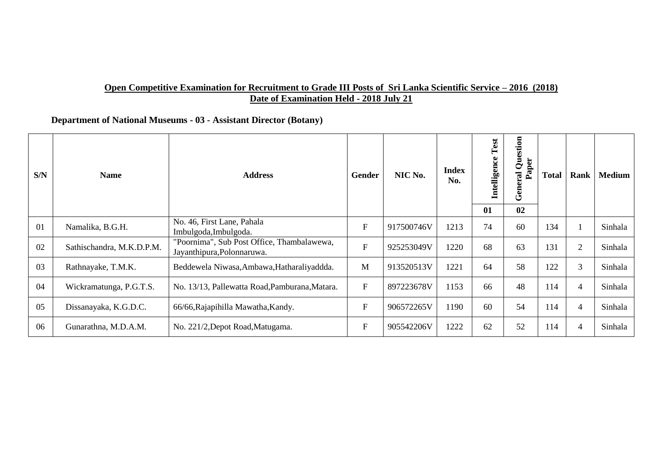#### **Open Competitive Examination for Recruitment to Grade III Posts of Sri Lanka Scientific Service – 2016 (2018) Date of Examination Held - 2018 July 21**

 **Department of National Museums - 03 - Assistant Director (Botany)**

| S/N | <b>Name</b>               | <b>Address</b>                                                           | Gender    | NIC No.    | <b>Index</b><br>No. | Test<br>Intelligence | Question<br>Paper<br>ral<br>e<br>$\overline{\omega}$<br>త | Total | Rank           | <b>Medium</b> |
|-----|---------------------------|--------------------------------------------------------------------------|-----------|------------|---------------------|----------------------|-----------------------------------------------------------|-------|----------------|---------------|
|     |                           |                                                                          |           |            |                     | 01                   | 02                                                        |       |                |               |
| 01  | Namalika, B.G.H.          | No. 46, First Lane, Pahala<br>Imbulgoda, Imbulgoda.                      | ${\bf F}$ | 917500746V | 1213                | 74                   | 60                                                        | 134   |                | Sinhala       |
| 02  | Sathischandra, M.K.D.P.M. | "Poornima", Sub Post Office, Thambalawewa,<br>Jayanthipura, Polonnaruwa. | ${\bf F}$ | 925253049V | 1220                | 68                   | 63                                                        | 131   | $\overline{2}$ | Sinhala       |
| 03  | Rathnayake, T.M.K.        | Beddewela Niwasa, Ambawa, Hatharaliyaddda.                               | M         | 913520513V | 1221                | 64                   | 58                                                        | 122   | 3              | Sinhala       |
| 04  | Wickramatunga, P.G.T.S.   | No. 13/13, Pallewatta Road, Pamburana, Matara.                           | ${\bf F}$ | 897223678V | 1153                | 66                   | 48                                                        | 114   | 4              | Sinhala       |
| 05  | Dissanayaka, K.G.D.C.     | 66/66, Rajapihilla Mawatha, Kandy.                                       | ${\bf F}$ | 906572265V | 1190                | 60                   | 54                                                        | 114   | 4              | Sinhala       |
| 06  | Gunarathna, M.D.A.M.      | No. 221/2, Depot Road, Matugama.                                         | ${\bf F}$ | 905542206V | 1222                | 62                   | 52                                                        | 114   | 4              | Sinhala       |